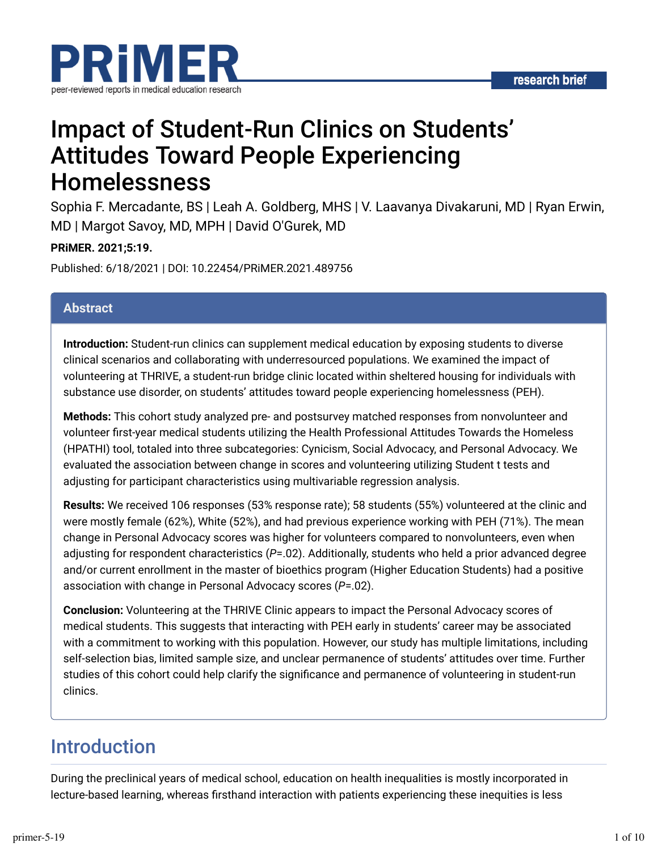

# Impact of Student-Run Clinics on Students' Attitudes Toward People Experiencing Homelessness

Sophia F. Mercadante, BS | Leah A. Goldberg, MHS | V. Laavanya Divakaruni, MD | Ryan Erwin, MD | Margot Savoy, MD, MPH | David O'Gurek, MD

#### **PRiMER. 2021;5:19.**

Published: 6/18/2021 | DOI: 10.22454/PRiMER.2021.489756

#### **Abstract**

**Introduction:** Student-run clinics can supplement medical education by exposing students to diverse clinical scenarios and collaborating with underresourced populations. We examined the impact of volunteering at THRIVE, a student-run bridge clinic located within sheltered housing for individuals with substance use disorder, on students' attitudes toward people experiencing homelessness (PEH).

**Methods:** This cohort study analyzed pre- and postsurvey matched responses from nonvolunteer and volunteer first-year medical students utilizing the Health Professional Attitudes Towards the Homeless (HPATHI) tool, totaled into three subcategories: Cynicism, Social Advocacy, and Personal Advocacy. We evaluated the association between change in scores and volunteering utilizing Student t tests and adjusting for participant characteristics using multivariable regression analysis.

**Results:** We received 106 responses (53% response rate); 58 students (55%) volunteered at the clinic and were mostly female (62%), White (52%), and had previous experience working with PEH (71%). The mean change in Personal Advocacy scores was higher for volunteers compared to nonvolunteers, even when adjusting for respondent characteristics (*P*=.02). Additionally, students who held a prior advanced degree and/or current enrollment in the master of bioethics program (Higher Education Students) had a positive association with change in Personal Advocacy scores (*P*=.02).

**Conclusion:** Volunteering at the THRIVE Clinic appears to impact the Personal Advocacy scores of medical students. This suggests that interacting with PEH early in students' career may be associated with a commitment to working with this population. However, our study has multiple limitations, including self-selection bias, limited sample size, and unclear permanence of students' attitudes over time. Further studies of this cohort could help clarify the significance and permanence of volunteering in student-run clinics.

### Introduction

During the preclinical years of medical school, education on health inequalities is mostly incorporated in lecture-based learning, whereas firsthand interaction with patients experiencing these inequities is less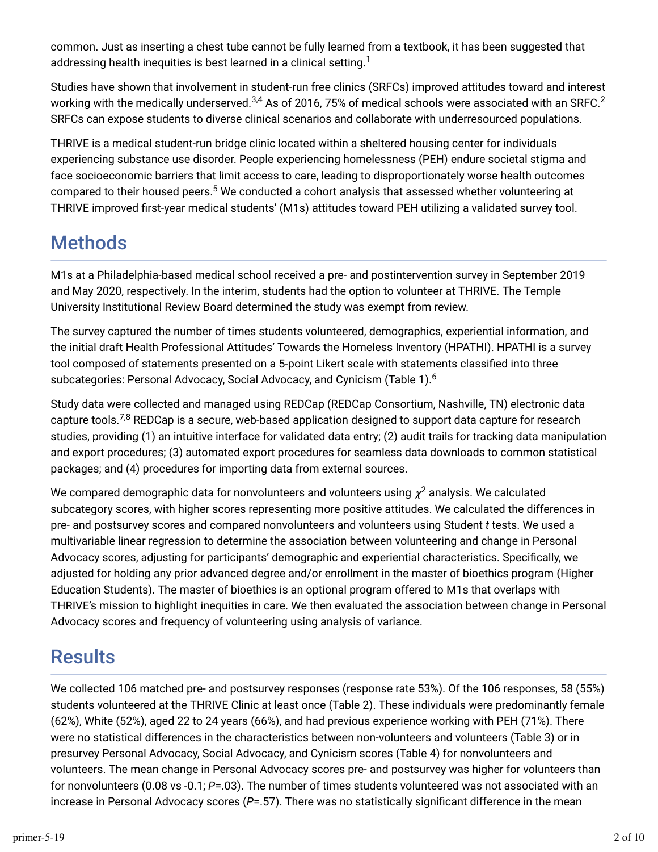common. Just as inserting a chest tube cannot be fully learned from a textbook, it has been suggested that addressing health inequities is best learned in a clinical setting. $^{\rm 1}$ 

Studies have shown that involvement in student-run free clinics (SRFCs) improved attitudes toward and interest working with the medically underserved. $^{3,4}$  As of 2016, 75% of medical schools were associated with an SRFC. $^2$ SRFCs can expose students to diverse clinical scenarios and collaborate with underresourced populations.

THRIVE is a medical student-run bridge clinic located within a sheltered housing center for individuals experiencing substance use disorder. People experiencing homelessness (PEH) endure societal stigma and face socioeconomic barriers that limit access to care, leading to disproportionately worse health outcomes compared to their housed peers. $^5$  We conducted a cohort analysis that assessed whether volunteering at THRIVE improved first-year medical students' (M1s) attitudes toward PEH utilizing a validated survey tool.

## Methods

M1s at a Philadelphia-based medical school received a pre- and postintervention survey in September 2019 and May 2020, respectively. In the interim, students had the option to volunteer at THRIVE. The Temple University Institutional Review Board determined the study was exempt from review.

The survey captured the number of times students volunteered, demographics, experiential information, and the initial draft Health Professional Attitudes' Towards the Homeless Inventory (HPATHI). HPATHI is a survey tool composed of statements presented on a 5-point Likert scale with statements classified into three subcategories: Personal Advocacy, Social Advocacy, and Cynicism (Table 1). $^6$ 

Study data were collected and managed using REDCap (REDCap Consortium, Nashville, TN) electronic data capture tools.<sup>7,8</sup> REDCap is a secure, web-based application designed to support data capture for research studies, providing (1) an intuitive interface for validated data entry; (2) audit trails for tracking data manipulation and export procedures; (3) automated export procedures for seamless data downloads to common statistical packages; and (4) procedures for importing data from external sources.

We compared demographic data for nonvolunteers and volunteers using  $\chi^2$  analysis. We calculated subcategory scores, with higher scores representing more positive attitudes. We calculated the differences in pre- and postsurvey scores and compared nonvolunteers and volunteers using Student *t* tests. We used a multivariable linear regression to determine the association between volunteering and change in Personal Advocacy scores, adjusting for participants' demographic and experiential characteristics. Specifically, we adjusted for holding any prior advanced degree and/or enrollment in the master of bioethics program (Higher Education Students). The master of bioethics is an optional program offered to M1s that overlaps with THRIVE's mission to highlight inequities in care. We then evaluated the association between change in Personal Advocacy scores and frequency of volunteering using analysis of variance.

## **Results**

We collected 106 matched pre- and postsurvey responses (response rate 53%). Of the 106 responses, 58 (55%) students volunteered at the THRIVE Clinic at least once (Table 2). These individuals were predominantly female (62%), White (52%), aged 22 to 24 years (66%), and had previous experience working with PEH (71%). There were no statistical differences in the characteristics between non-volunteers and volunteers (Table 3) or in presurvey Personal Advocacy, Social Advocacy, and Cynicism scores (Table 4) for nonvolunteers and volunteers. The mean change in Personal Advocacy scores pre- and postsurvey was higher for volunteers than for nonvolunteers (0.08 vs -0.1; *P*=.03). The number of times students volunteered was not associated with an increase in Personal Advocacy scores (P=.57). There was no statistically significant difference in the mean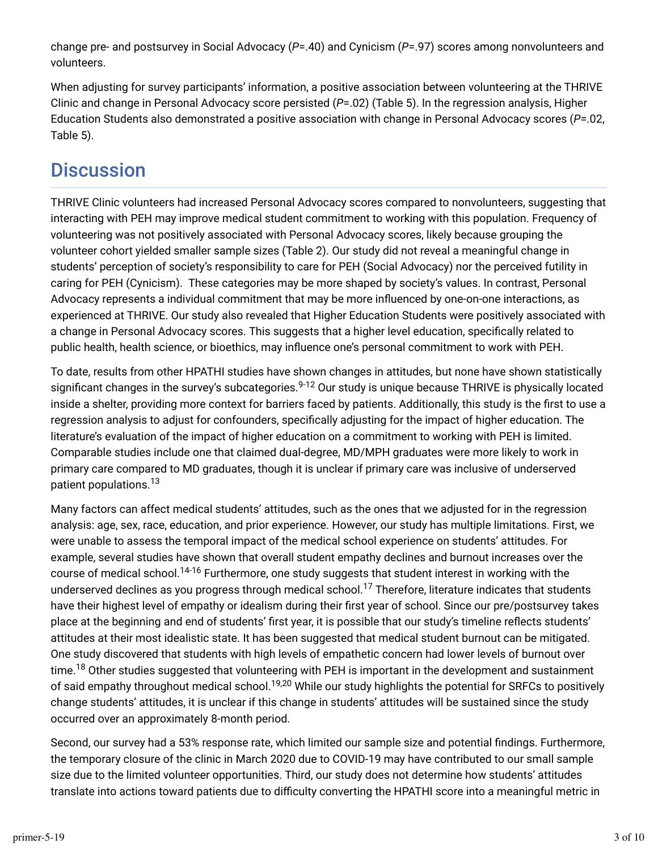change pre- and postsurvey in Social Advocacy (*P*=.40) and Cynicism (*P*=.97) scores among nonvolunteers and volunteers.

When adjusting for survey participants' information, a positive association between volunteering at the THRIVE Clinic and change in Personal Advocacy score persisted (*P*=.02) (Table 5). In the regression analysis, Higher Education Students also demonstrated a positive association with change in Personal Advocacy scores (*P*=.02, Table 5).

## **Discussion**

THRIVE Clinic volunteers had increased Personal Advocacy scores compared to nonvolunteers, suggesting that interacting with PEH may improve medical student commitment to working with this population. Frequency of volunteering was not positively associated with Personal Advocacy scores, likely because grouping the volunteer cohort yielded smaller sample sizes (Table 2). Our study did not reveal a meaningful change in students' perception of society's responsibility to care for PEH (Social Advocacy) nor the perceived futility in caring for PEH (Cynicism). These categories may be more shaped by society's values. In contrast, Personal Advocacy represents a individual commitment that may be more influenced by one-on-one interactions, as experienced at THRIVE. Our study also revealed that Higher Education Students were positively associated with a change in Personal Advocacy scores. This suggests that a higher level education, specifically related to public health, health science, or bioethics, may influence one's personal commitment to work with PEH.

To date, results from other HPATHI studies have shown changes in attitudes, but none have shown statistically significant changes in the survey's subcategories.<sup>9-12</sup> Our study is unique because THRIVE is physically located inside a shelter, providing more context for barriers faced by patients. Additionally, this study is the first to use a regression analysis to adjust for confounders, specifically adjusting for the impact of higher education. The literature's evaluation of the impact of higher education on a commitment to working with PEH is limited. Comparable studies include one that claimed dual-degree, MD/MPH graduates were more likely to work in primary care compared to MD graduates, though it is unclear if primary care was inclusive of underserved patient populations. 13

Many factors can affect medical students' attitudes, such as the ones that we adjusted for in the regression analysis: age, sex, race, education, and prior experience. However, our study has multiple limitations. First, we were unable to assess the temporal impact of the medical school experience on students' attitudes. For example, several studies have shown that overall student empathy declines and burnout increases over the course of medical school.<sup>14-16</sup> Furthermore, one study suggests that student interest in working with the underserved declines as you progress through medical school. $^{17}$  Therefore, literature indicates that students have their highest level of empathy or idealism during their first year of school. Since our pre/postsurvey takes place at the beginning and end of students' first year, it is possible that our study's timeline reflects students' attitudes at their most idealistic state. It has been suggested that medical student burnout can be mitigated. One study discovered that students with high levels of empathetic concern had lower levels of burnout over time.<sup>18</sup> Other studies suggested that volunteering with PEH is important in the development and sustainment of said empathy throughout medical school.<sup>19,20</sup> While our study highlights the potential for SRFCs to positively change students' attitudes, it is unclear if this change in students' attitudes will be sustained since the study occurred over an approximately 8-month period.

Second, our survey had a 53% response rate, which limited our sample size and potential findings. Furthermore, the temporary closure of the clinic in March 2020 due to COVID-19 may have contributed to our small sample size due to the limited volunteer opportunities. Third, our study does not determine how students' attitudes translate into actions toward patients due to difficulty converting the HPATHI score into a meaningful metric in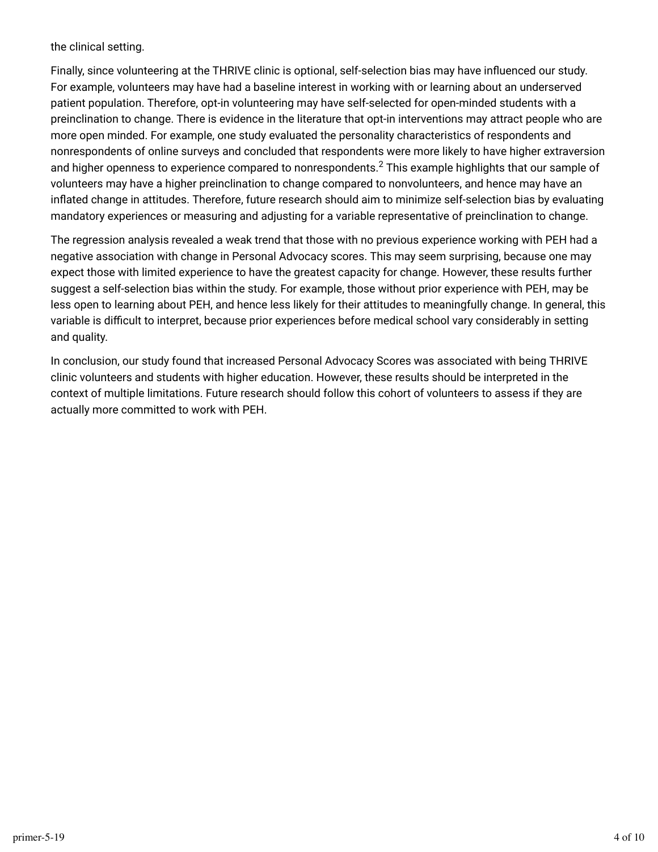the clinical setting.

Finally, since volunteering at the THRIVE clinic is optional, self-selection bias may have influenced our study. For example, volunteers may have had a baseline interest in working with or learning about an underserved patient population. Therefore, opt-in volunteering may have self-selected for open-minded students with a preinclination to change. There is evidence in the literature that opt-in interventions may attract people who are more open minded. For example, one study evaluated the personality characteristics of respondents and nonrespondents of online surveys and concluded that respondents were more likely to have higher extraversion and higher openness to experience compared to nonrespondents. $^2$  This example highlights that our sample of volunteers may have a higher preinclination to change compared to nonvolunteers, and hence may have an inflated change in attitudes. Therefore, future research should aim to minimize self-selection bias by evaluating mandatory experiences or measuring and adjusting for a variable representative of preinclination to change.

The regression analysis revealed a weak trend that those with no previous experience working with PEH had a negative association with change in Personal Advocacy scores. This may seem surprising, because one may expect those with limited experience to have the greatest capacity for change. However, these results further suggest a self-selection bias within the study. For example, those without prior experience with PEH, may be less open to learning about PEH, and hence less likely for their attitudes to meaningfully change. In general, this variable is difficult to interpret, because prior experiences before medical school vary considerably in setting and quality.

In conclusion, our study found that increased Personal Advocacy Scores was associated with being THRIVE clinic volunteers and students with higher education. However, these results should be interpreted in the context of multiple limitations. Future research should follow this cohort of volunteers to assess if they are actually more committed to work with PEH.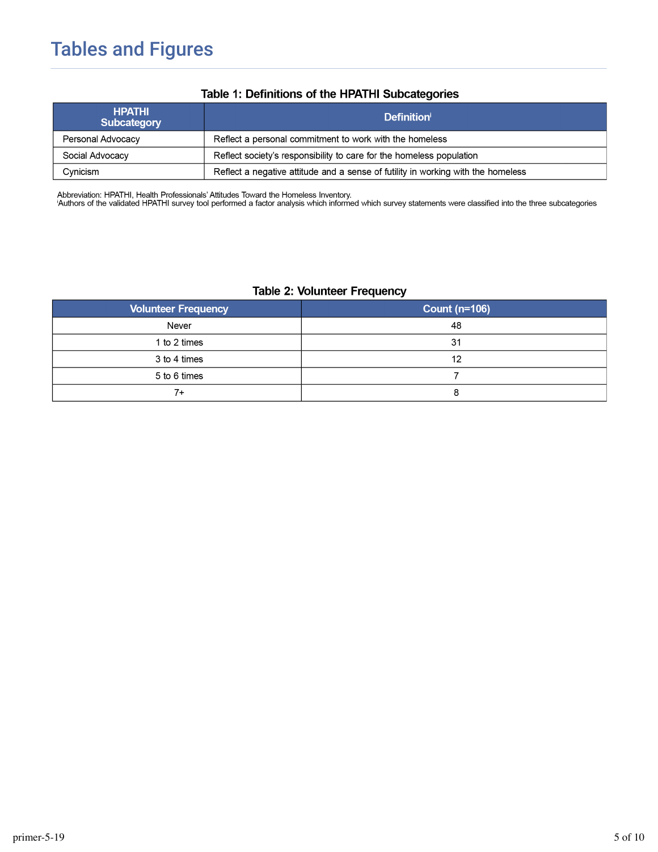## **Tables and Figures**

| <b>HPATHI</b><br>Subcategory | <b>Definition</b>                                                                |  |
|------------------------------|----------------------------------------------------------------------------------|--|
| Personal Advocacy            | Reflect a personal commitment to work with the homeless                          |  |
| Social Advocacy              | Reflect society's responsibility to care for the homeless population             |  |
| Cynicism                     | Reflect a negative attitude and a sense of futility in working with the homeless |  |

#### Table 1: Definitions of the HPATHI Subcategories

Abbreviation: HPATHI, Health Professionals' Attitudes Toward the Homeless Inventory.<br>'Authors of the validated HPATHI survey tool performed a factor analysis which informed which survey statements were classified into the

#### **Table 2: Volunteer Frequency**

| <b>Volunteer Frequency</b> | <b>Count (n=106)</b> |  |
|----------------------------|----------------------|--|
| Never                      | 48                   |  |
| 1 to 2 times               | 31                   |  |
| 3 to 4 times               | 12                   |  |
| 5 to 6 times               |                      |  |
| $7+$                       |                      |  |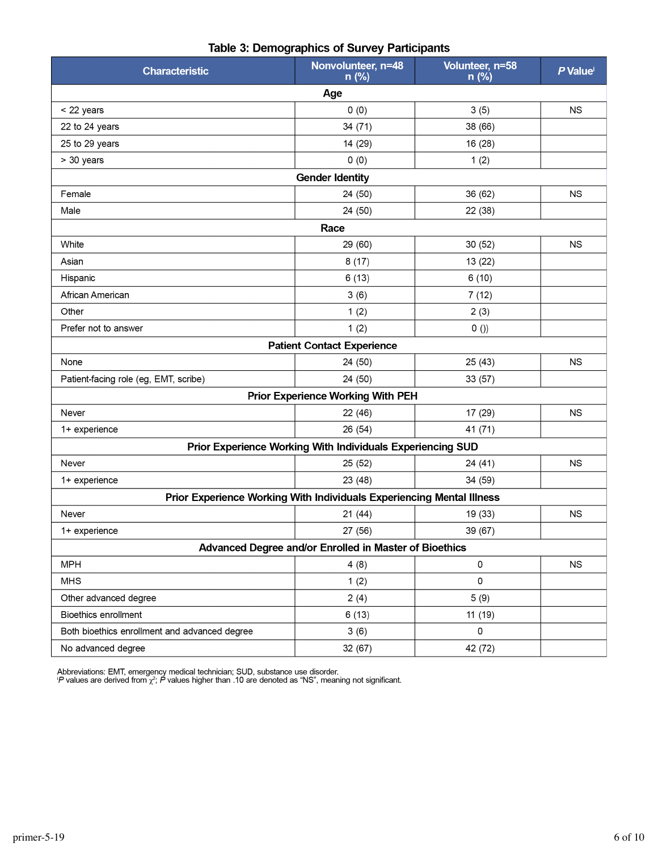| <b>Characteristic</b>                                                 | Nonvolunteer, n=48<br>n (%)                                | Volunteer, n=58<br>n (%) | P Value   |  |  |  |
|-----------------------------------------------------------------------|------------------------------------------------------------|--------------------------|-----------|--|--|--|
|                                                                       | Age                                                        |                          |           |  |  |  |
| < 22 years                                                            | 0(0)                                                       | 3(5)                     | <b>NS</b> |  |  |  |
| 22 to 24 years                                                        | 34 (71)                                                    | 38 (66)                  |           |  |  |  |
| 25 to 29 years                                                        | 14 (29)                                                    | 16 (28)                  |           |  |  |  |
| > 30 years                                                            | 0(0)                                                       | 1(2)                     |           |  |  |  |
|                                                                       | <b>Gender Identity</b>                                     |                          |           |  |  |  |
| Female                                                                | 24 (50)                                                    | 36 (62)                  | <b>NS</b> |  |  |  |
| Male                                                                  | 24 (50)                                                    | 22 (38)                  |           |  |  |  |
|                                                                       | Race                                                       |                          |           |  |  |  |
| White                                                                 | 29 (60)                                                    | 30 (52)                  | <b>NS</b> |  |  |  |
| Asian                                                                 | 8(17)                                                      | 13 (22)                  |           |  |  |  |
| Hispanic                                                              | 6(13)                                                      | 6(10)                    |           |  |  |  |
| African American                                                      | 3(6)                                                       | 7(12)                    |           |  |  |  |
| Other                                                                 | 1(2)                                                       | 2(3)                     |           |  |  |  |
| Prefer not to answer                                                  | 1(2)                                                       | $0$ ())                  |           |  |  |  |
|                                                                       | <b>Patient Contact Experience</b>                          |                          |           |  |  |  |
| None                                                                  | 24 (50)                                                    | 25(43)                   | <b>NS</b> |  |  |  |
| Patient-facing role (eg, EMT, scribe)                                 | 24 (50)                                                    | 33 (57)                  |           |  |  |  |
|                                                                       | <b>Prior Experience Working With PEH</b>                   |                          |           |  |  |  |
| Never                                                                 | 22 (46)                                                    | 17 (29)                  | <b>NS</b> |  |  |  |
| 1+ experience                                                         | 26 (54)                                                    | 41 (71)                  |           |  |  |  |
|                                                                       | Prior Experience Working With Individuals Experiencing SUD |                          |           |  |  |  |
| Never                                                                 | 25 (52)                                                    | 24 (41)                  | <b>NS</b> |  |  |  |
| 1+ experience                                                         | 23 (48)                                                    | 34 (59)                  |           |  |  |  |
| Prior Experience Working With Individuals Experiencing Mental Illness |                                                            |                          |           |  |  |  |
| Never                                                                 | 21(44)                                                     | 19 (33)                  | <b>NS</b> |  |  |  |
| 1+ experience                                                         | 27 (56)                                                    | 39 (67)                  |           |  |  |  |
| Advanced Degree and/or Enrolled in Master of Bioethics                |                                                            |                          |           |  |  |  |
| <b>MPH</b>                                                            | 4(8)                                                       | 0                        | <b>NS</b> |  |  |  |
| <b>MHS</b>                                                            | 1(2)                                                       | 0                        |           |  |  |  |
| Other advanced degree                                                 | 2(4)                                                       | 5(9)                     |           |  |  |  |
| <b>Bioethics enrollment</b>                                           | 6(13)                                                      | 11 (19)                  |           |  |  |  |
| Both bioethics enrollment and advanced degree                         | 3(6)                                                       | 0                        |           |  |  |  |
| No advanced degree                                                    | 32 (67)                                                    | 42 (72)                  |           |  |  |  |

#### Table 3: Demographics of Survey Participants

Abbreviations: EMT, emergency medical technician; SUD, substance use disorder.<br><sup>i</sup>P values are derived from  $\chi^2$ ; P values higher than .10 are denoted as "NS", meaning not significant.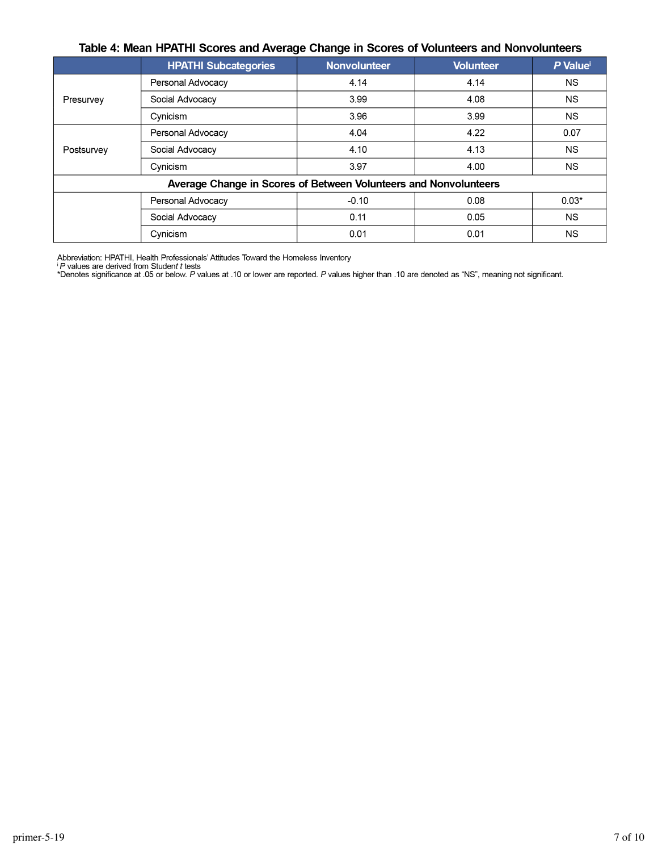#### Table 4: Mean HPATHI Scores and Average Change in Scores of Volunteers and Nonvolunteers

|                                                                  | <b>HPATHI Subcategories</b> | <b>Nonvolunteer</b> | <b>Volunteer</b> | P Value <sup>i</sup> |  |  |
|------------------------------------------------------------------|-----------------------------|---------------------|------------------|----------------------|--|--|
| Presurvey                                                        | Personal Advocacy           | 4.14                | 4.14             | <b>NS</b>            |  |  |
|                                                                  | Social Advocacy             | 3.99                | 4.08             | <b>NS</b>            |  |  |
|                                                                  | Cynicism                    | 3.96                | 3.99             | <b>NS</b>            |  |  |
| Postsurvey                                                       | Personal Advocacy           | 4.04                | 4.22             | 0.07                 |  |  |
|                                                                  | Social Advocacy             | 4.10                | 4.13             | <b>NS</b>            |  |  |
|                                                                  | Cynicism                    | 3.97                | 4.00             | <b>NS</b>            |  |  |
| Average Change in Scores of Between Volunteers and Nonvolunteers |                             |                     |                  |                      |  |  |
|                                                                  | Personal Advocacy           | $-0.10$             | 0.08             | $0.03*$              |  |  |
|                                                                  | Social Advocacy             | 0.11                | 0.05             | <b>NS</b>            |  |  |
|                                                                  | Cynicism                    | 0.01                | 0.01             | <b>NS</b>            |  |  |

Abbreviation: HPATHI, Health Professionals' Attitudes Toward the Homeless Inventory<br><sup>i</sup> P values are derived from Studen*t t* tests<br>\*Denotes significance at .05 or below. P values at .10 or lower are reported. P values hig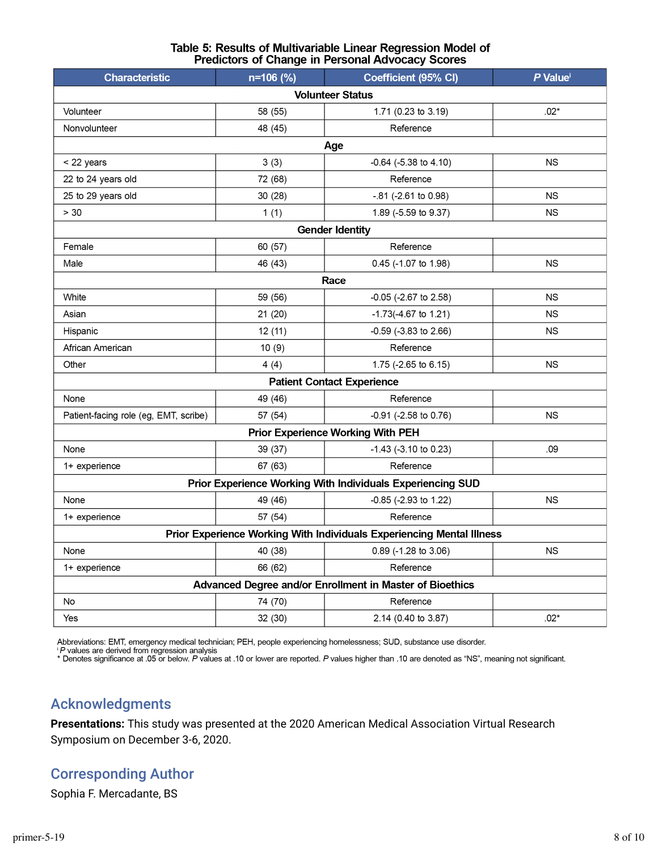| Table 5: Results of Multivariable Linear Regression Model of |
|--------------------------------------------------------------|
| <b>Predictors of Change in Personal Advocacy Scores</b>      |

| n=106 (%)                                                             | Coefficient (95% CI)       | P Value <sup>i</sup>                                                                                            |  |  |  |  |
|-----------------------------------------------------------------------|----------------------------|-----------------------------------------------------------------------------------------------------------------|--|--|--|--|
| <b>Volunteer Status</b>                                               |                            |                                                                                                                 |  |  |  |  |
| 58 (55)                                                               | 1.71 (0.23 to 3.19)        | $.02*$                                                                                                          |  |  |  |  |
| 48 (45)                                                               | Reference                  |                                                                                                                 |  |  |  |  |
| Age                                                                   |                            |                                                                                                                 |  |  |  |  |
| 3(3)                                                                  | -0.64 (-5.38 to 4.10)      | <b>NS</b>                                                                                                       |  |  |  |  |
| 72 (68)                                                               | Reference                  |                                                                                                                 |  |  |  |  |
| 30 (28)                                                               | $-0.81$ (-2.61 to 0.98)    | <b>NS</b>                                                                                                       |  |  |  |  |
| 1(1)                                                                  | 1.89 (-5.59 to 9.37)       | <b>NS</b>                                                                                                       |  |  |  |  |
|                                                                       |                            |                                                                                                                 |  |  |  |  |
| 60 (57)                                                               | Reference                  |                                                                                                                 |  |  |  |  |
| 46 (43)                                                               | 0.45 (-1.07 to 1.98)       | <b>NS</b>                                                                                                       |  |  |  |  |
|                                                                       |                            |                                                                                                                 |  |  |  |  |
| 59 (56)                                                               | $-0.05$ ( $-2.67$ to 2.58) | <b>NS</b>                                                                                                       |  |  |  |  |
| 21(20)                                                                | $-1.73(-4.67)$ to 1.21)    | <b>NS</b>                                                                                                       |  |  |  |  |
| 12(11)                                                                | -0.59 (-3.83 to 2.66)      | <b>NS</b>                                                                                                       |  |  |  |  |
| 10(9)                                                                 | Reference                  |                                                                                                                 |  |  |  |  |
| 4(4)                                                                  | 1.75 (-2.65 to 6.15)       | <b>NS</b>                                                                                                       |  |  |  |  |
|                                                                       |                            |                                                                                                                 |  |  |  |  |
| 49 (46)                                                               | Reference                  |                                                                                                                 |  |  |  |  |
| 57 (54)                                                               | -0.91 (-2.58 to 0.76)      | <b>NS</b>                                                                                                       |  |  |  |  |
|                                                                       |                            |                                                                                                                 |  |  |  |  |
| 39 (37)                                                               | $-1.43$ ( $-3.10$ to 0.23) | .09                                                                                                             |  |  |  |  |
| 67 (63)                                                               | Reference                  |                                                                                                                 |  |  |  |  |
| Prior Experience Working With Individuals Experiencing SUD            |                            |                                                                                                                 |  |  |  |  |
| 49 (46)                                                               | -0.85 (-2.93 to 1.22)      | <b>NS</b>                                                                                                       |  |  |  |  |
| 57 (54)                                                               | Reference                  |                                                                                                                 |  |  |  |  |
| Prior Experience Working With Individuals Experiencing Mental Illness |                            |                                                                                                                 |  |  |  |  |
| 40 (38)                                                               | 0.89 (-1.28 to 3.06)       | <b>NS</b>                                                                                                       |  |  |  |  |
| 66 (62)                                                               | Reference                  |                                                                                                                 |  |  |  |  |
| Advanced Degree and/or Enrollment in Master of Bioethics              |                            |                                                                                                                 |  |  |  |  |
| 74 (70)                                                               | Reference                  |                                                                                                                 |  |  |  |  |
| 32 (30)                                                               | 2.14 (0.40 to 3.87)        | $.02*$                                                                                                          |  |  |  |  |
|                                                                       |                            | <b>Gender Identity</b><br>Race<br><b>Patient Contact Experience</b><br><b>Prior Experience Working With PEH</b> |  |  |  |  |

Abbreviations: EMT, emergency medical technician; PEH, people experiencing homelessness; SUD, substance use disorder.<br>『A values are derived from regression analysis<br>\*Denotes significance at .05 or below. A values at .10 or

### Acknowledgments

**Presentations:** This study was presented at the 2020 American Medical Association Virtual Research Symposium on December 3-6, 2020.

### Corresponding Author

Sophia F. Mercadante, BS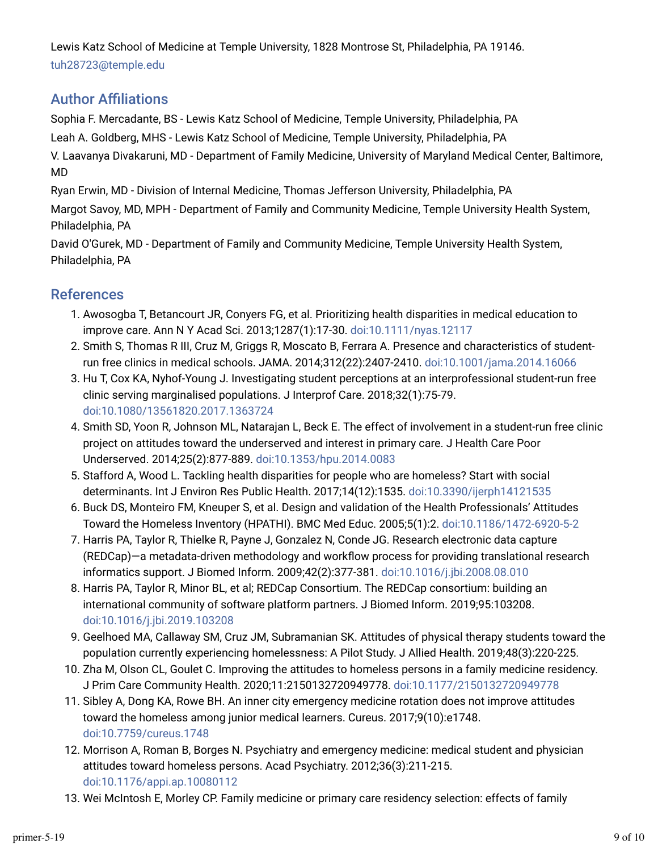Lewis Katz School of Medicine at Temple University, 1828 Montrose St, Philadelphia, PA 19146. tuh28723@temple.edu

### **Author Affiliations**

Sophia F. Mercadante, BS - Lewis Katz School of Medicine, Temple University, Philadelphia, PA

Leah A. Goldberg, MHS - Lewis Katz School of Medicine, Temple University, Philadelphia, PA

V. Laavanya Divakaruni, MD - Department of Family Medicine, University of Maryland Medical Center, Baltimore, MD

Ryan Erwin, MD - Division of Internal Medicine, Thomas Jefferson University, Philadelphia, PA

Margot Savoy, MD, MPH - Department of Family and Community Medicine, Temple University Health System, Philadelphia, PA

David O'Gurek, MD - Department of Family and Community Medicine, Temple University Health System, Philadelphia, PA

### References

- 1. Awosogba T, Betancourt JR, Conyers FG, et al. Prioritizing health disparities in medical education to improve care. Ann N Y Acad Sci. 2013;1287(1):17-30. doi:10.1111/nyas.12117
- 2. Smith S, Thomas R III, Cruz M, Griggs R, Moscato B, Ferrara A. Presence and characteristics of studentrun free clinics in medical schools. JAMA. 2014;312(22):2407-2410. doi:10.1001/jama.2014.16066
- 3. Hu T, Cox KA, Nyhof-Young J. Investigating student perceptions at an interprofessional student-run free clinic serving marginalised populations. J Interprof Care. 2018;32(1):75-79. doi:10.1080/13561820.2017.1363724
- 4. Smith SD, Yoon R, Johnson ML, Natarajan L, Beck E. The effect of involvement in a student-run free clinic project on attitudes toward the underserved and interest in primary care. J Health Care Poor Underserved. 2014;25(2):877-889. doi:10.1353/hpu.2014.0083
- 5. Stafford A, Wood L. Tackling health disparities for people who are homeless? Start with social determinants. Int J Environ Res Public Health. 2017;14(12):1535. doi:10.3390/ijerph14121535
- p. Buck DS, Monteiro FM, Kneuper S, et al. Design and validation of the Health Professionals' Attitudes Toward the Homeless Inventory (HPATHI). BMC Med Educ. 2005;5(1):2. doi:10.1186/1472-6920-5-2
- 7. Harris PA, Taylor R, Thielke R, Payne J, Gonzalez N, Conde JG. Research electronic data capture (REDCap)—a metadata-driven methodology and workjow process for providing translational research informatics support. J Biomed Inform. 2009;42(2):377-381. doi:10.1016/j.jbi.2008.08.010
- r. Harris PA, Taylor R, Minor BL, et al; REDCap Consortium. The REDCap consortium: building an international community of software platform partners. J Biomed Inform. 2019;95:103208. doi:10.1016/j.jbi.2019.103208
- 9. Geelhoed MA, Callaway SM, Cruz JM, Subramanian SK. Attitudes of physical therapy students toward the population currently experiencing homelessness: A Pilot Study. J Allied Health. 2019;48(3):220-225.
- 10. Zha M, Olson CL, Goulet C. Improving the attitudes to homeless persons in a family medicine residency. J Prim Care Community Health. 2020;11:2150132720949778. doi:10.1177/2150132720949778
- 11. Sibley A, Dong KA, Rowe BH. An inner city emergency medicine rotation does not improve attitudes toward the homeless among junior medical learners. Cureus. 2017;9(10):e1748. doi:10.7759/cureus.1748
- 12. Morrison A, Roman B, Borges N. Psychiatry and emergency medicine: medical student and physician attitudes toward homeless persons. Acad Psychiatry. 2012;36(3):211-215. doi:10.1176/appi.ap.10080112
- 13. Wei McIntosh E, Morley CP. Family medicine or primary care residency selection: effects of family